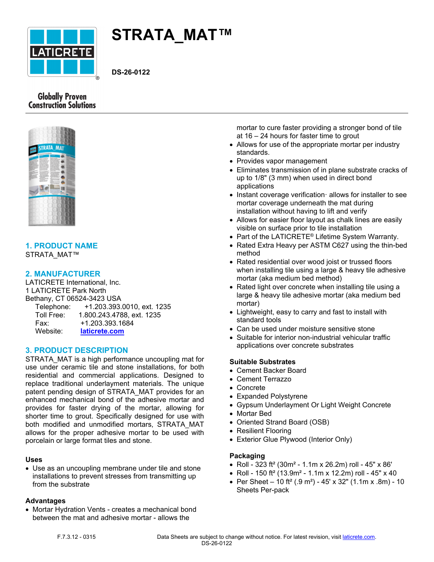

# **STRATA\_MAT™**

**DS-26-0122**

# **Globally Proven Construction Solutions**



#### **1. PRODUCT NAME** STRATA\_MAT™

# **2. MANUFACTURER**

LATICRETE International, Inc. 1 LATICRETE Park North Bethany, CT 06524-3423 USA Telephone: +1.203.393.0010, ext. 1235 Toll Free: 1.800.243.4788, ext. 1235 Fax: +1.203.393.1684 Website: **[laticrete.com](https://laticrete.com/)**

# **3. PRODUCT DESCRIPTION**

STRATA\_MAT is a high performance uncoupling mat for use under ceramic tile and stone installations, for both residential and commercial applications. Designed to replace traditional underlayment materials. The unique patent pending design of STRATA\_MAT provides for an enhanced mechanical bond of the adhesive mortar and provides for faster drying of the mortar, allowing for shorter time to grout. Specifically designed for use with both modified and unmodified mortars, STRATA\_MAT allows for the proper adhesive mortar to be used with porcelain or large format tiles and stone.

#### **Uses**

• Use as an uncoupling membrane under tile and stone installations to prevent stresses from transmitting up from the substrate

#### **Advantages**

• Mortar Hydration Vents - creates a mechanical bond between the mat and adhesive mortar - allows the

mortar to cure faster providing a stronger bond of tile at 16 – 24 hours for faster time to grout

- Allows for use of the appropriate mortar per industry standards.
- Provides vapor management
- Eliminates transmission of in plane substrate cracks of up to 1/8" (3 mm) when used in direct bond applications
- Instant coverage verification· allows for installer to see mortar coverage underneath the mat during installation without having to lift and verify
- Allows for easier floor layout as chalk lines are easily visible on surface prior to tile installation
- Part of the LATICRETE® Lifetime System Warranty.
- Rated Extra Heavy per ASTM C627 using the thin-bed method
- Rated residential over wood joist or trussed floors when installing tile using a large & heavy tile adhesive mortar (aka medium bed method)
- Rated light over concrete when installing tile using a large & heavy tile adhesive mortar (aka medium bed mortar)
- Lightweight, easy to carry and fast to install with standard tools
- Can be used under moisture sensitive stone
- Suitable for interior non-industrial vehicular traffic applications over concrete substrates

# **Suitable Substrates**

- Cement Backer Board
- Cement Terrazzo
- Concrete
- Expanded Polystyrene
- Gypsum Underlayment Or Light Weight Concrete
- Mortar Bed
- Oriented Strand Board (OSB)
- Resilient Flooring
- Exterior Glue Plywood (Interior Only)

# **Packaging**

- Roll 323 ft<sup>2</sup> (30m<sup>2</sup> 1.1m x 26.2m) roll 45" x 86'
- Roll 150 ft<sup>2</sup> (13.9m<sup>2</sup> 1.1m x 12.2m) roll 45" x 40
- Per Sheet 10 ft<sup>2</sup> (.9 m<sup>2</sup>) 45' x 32" (1.1m x .8m) 10 Sheets Per-pack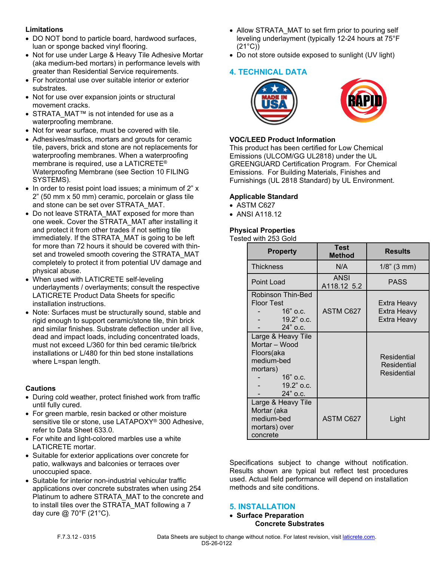# **Limitations**

- DO NOT bond to particle board, hardwood surfaces, luan or sponge backed vinyl flooring.
- Not for use under Large & Heavy Tile Adhesive Mortar (aka medium-bed mortars) in performance levels with greater than Residential Service requirements.
- For horizontal use over suitable interior or exterior substrates.
- Not for use over expansion joints or structural movement cracks.
- STRATA\_MAT™ is not intended for use as a waterproofing membrane.
- Not for wear surface, must be covered with tile.
- Adhesives/mastics, mortars and grouts for ceramic tile, pavers, brick and stone are not replacements for waterproofing membranes. When a waterproofing membrane is required, use a LATICRETE® Waterproofing Membrane (see Section 10 FILING SYSTEMS).
- In order to resist point load issues; a minimum of 2" x 2" (50 mm x 50 mm) ceramic, porcelain or glass tile and stone can be set over STRATA\_MAT.
- Do not leave STRATA\_MAT exposed for more than one week. Cover the STRATA\_MAT after installing it and protect it from other trades if not setting tile immediately. If the STRATA\_MAT is going to be left for more than 72 hours it should be covered with thinset and troweled smooth covering the STRATA\_MAT completely to protect it from potential UV damage and physical abuse.
- When used with LATICRETE self-leveling underlayments / overlayments; consult the respective LATICRETE Product Data Sheets for specific installation instructions.
- Note: Surfaces must be structurally sound, stable and rigid enough to support ceramic/stone tile, thin brick and similar finishes. Substrate deflection under all live, dead and impact loads, including concentrated loads, must not exceed L/360 for thin bed ceramic tile/brick installations or L/480 for thin bed stone installations where L=span length.

# **Cautions**

- During cold weather, protect finished work from traffic until fully cured.
- For green marble, resin backed or other moisture sensitive tile or stone, use LATAPOXY® 300 Adhesive, refer to Data Sheet 633.0.
- For white and light-colored marbles use a white LATICRETE mortar.
- Suitable for exterior applications over concrete for patio, walkways and balconies or terraces over unoccupied space.
- Suitable for interior non-industrial vehicular traffic applications over concrete substrates when using 254 Platinum to adhere STRATA\_MAT to the concrete and to install tiles over the STRATA\_MAT following a 7 day cure @ 70°F (21°C).
- Allow STRATA MAT to set firm prior to pouring self leveling underlayment (typically 12-24 hours at 75°F (21°C))
- Do not store outside exposed to sunlight (UV light)

# **4. TECHNICAL DATA**





# **VOC/LEED Product Information**

This product has been certified for Low Chemical Emissions (ULCOM/GG UL2818) under the UL GREENGUARD Certification Program. For Chemical Emissions. For Building Materials, Finishes and Furnishings (UL 2818 Standard) by UL Environment.

# **Applicable Standard**

- ASTM C627
- ANSI A118.12

# **Physical Properties**

Tested with 253 Gold

| <b>Property</b>                                                                                                       | <b>Test</b><br><b>Method</b> | <b>Results</b>                            |
|-----------------------------------------------------------------------------------------------------------------------|------------------------------|-------------------------------------------|
| <b>Thickness</b>                                                                                                      | N/A                          | $1/8$ " (3 mm)                            |
| Point Load                                                                                                            | <b>ANSI</b><br>A118.12 5.2   | <b>PASS</b>                               |
| Robinson Thin-Bed<br><b>Floor Test</b><br>$16"$ o.c.<br>$19.2$ " o.c.<br>$24"$ o.c.                                   | <b>ASTM C627</b>             | Extra Heavy<br>Extra Heavy<br>Extra Heavy |
| Large & Heavy Tile<br>Mortar - Wood<br>Floors(aka<br>medium-bed<br>mortars)<br>$16"$ o.c.<br>19.2" o.c.<br>$24"$ o.c. |                              | Residential<br>Residential<br>Residential |
| Large & Heavy Tile<br>Mortar (aka<br>medium-bed<br>mortars) over<br>concrete                                          | ASTM C627                    | Light                                     |

Specifications subject to change without notification. Results shown are typical but reflect test procedures used. Actual field performance will depend on installation methods and site conditions.

# **5. INSTALLATION**

#### • **Surface Preparation Concrete Substrates**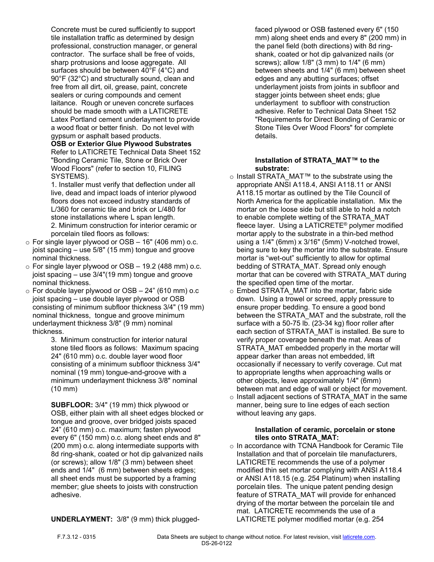Concrete must be cured sufficiently to support tile installation traffic as determined by design professional, construction manager, or general contractor. The surface shall be free of voids, sharp protrusions and loose aggregate. All surfaces should be between  $40^{\circ}$ F (4°C) and 90°F (32°C) and structurally sound, clean and free from all dirt, oil, grease, paint, concrete sealers or curing compounds and cement laitance. Rough or uneven concrete surfaces should be made smooth with a LATICRETE Latex Portland cement underlayment to provide a wood float or better finish. Do not level with gypsum or asphalt based products.

#### **OSB or Exterior Glue Plywood Substrates** Refer to LATICRETE Technical Data Sheet 152 "Bonding Ceramic Tile, Stone or Brick Over Wood Floors" (refer to section 10, FILING SYSTEMS).

1. Installer must verify that deflection under all live, dead and impact loads of interior plywood floors does not exceed industry standards of L/360 for ceramic tile and brick or L/480 for stone installations where L span length. 2. Minimum construction for interior ceramic or porcelain tiled floors as follows:

- $\circ$  For single layer plywood or OSB 16" (406 mm) o.c. joist spacing – use 5/8" (15 mm) tongue and groove nominal thickness.
- o For single layer plywood or OSB 19.2 (488 mm) o.c. joist spacing – use 3/4"(19 mm) tongue and groove nominal thickness.
- $\circ$  For double layer plywood or OSB 24" (610 mm) o.c joist spacing – use double layer plywood or OSB consisting of minimum subfloor thickness 3/4" (19 mm) nominal thickness, tongue and groove minimum underlayment thickness 3/8" (9 mm) nominal thickness.

3. Minimum construction for interior natural stone tiled floors as follows: Maximum spacing 24" (610 mm) o.c. double layer wood floor consisting of a minimum subfloor thickness 3/4" nominal (19 mm) tongue-and-groove with a minimum underlayment thickness 3/8" nominal (10 mm)

**SUBFLOOR:** 3/4" (19 mm) thick plywood or OSB, either plain with all sheet edges blocked or tongue and groove, over bridged joists spaced 24" (610 mm) o.c. maximum; fasten plywood every 6" (150 mm) o.c. along sheet ends and 8" (200 mm) o.c. along intermediate supports with 8d ring-shank, coated or hot dip galvanized nails (or screws); allow 1/8" (3 mm) between sheet ends and 1/4" (6 mm) between sheets edges; all sheet ends must be supported by a framing member; glue sheets to joists with construction adhesive.

faced plywood or OSB fastened every 6" (150 mm) along sheet ends and every 8" (200 mm) in the panel field (both directions) with 8d ringshank, coated or hot dip galvanized nails (or screws); allow 1/8" (3 mm) to 1/4" (6 mm) between sheets and 1/4" (6 mm) between sheet edges and any abutting surfaces; offset underlayment joists from joints in subfloor and stagger joints between sheet ends; glue underlayment to subfloor with construction adhesive. Refer to Technical Data Sheet 152 "Requirements for Direct Bonding of Ceramic or Stone Tiles Over Wood Floors" for complete details.

#### **Installation of STRATA\_MAT™ to the substrate:**

- o Install STRATA\_MAT™ to the substrate using the appropriate ANSI A118.4, ANSI A118.11 or ANSI A118.15 mortar as outlined by the Tile Council of North America for the applicable installation. Mix the mortar on the loose side but still able to hold a notch to enable complete wetting of the STRATA\_MAT fleece layer. Using a LATICRETE® polymer modified mortar apply to the substrate in a thin-bed method using a 1/4" (6mm) x 3/16" (5mm) V-notched trowel, being sure to key the mortar into the substrate. Ensure mortar is "wet-out" sufficiently to allow for optimal bedding of STRATA\_MAT. Spread only enough mortar that can be covered with STRATA\_MAT during the specified open time of the mortar.
- $\circ$  Embed STRATA\_MAT into the mortar, fabric side down. Using a trowel or screed, apply pressure to ensure proper bedding. To ensure a good bond between the STRATA\_MAT and the substrate, roll the surface with a 50-75 lb. (23-34 kg) floor roller after each section of STRATA\_MAT is installed. Be sure to verify proper coverage beneath the mat. Areas of STRATA\_MAT embedded properly in the mortar will appear darker than areas not embedded, lift occasionally if necessary to verify coverage. Cut mat to appropriate lengths when approaching walls or other objects, leave approximately 1/4" (6mm) between mat and edge of wall or object for movement.
- o Install adjacent sections of STRATA\_MAT in the same manner, being sure to line edges of each section without leaving any gaps.

#### **Installation of ceramic, porcelain or stone tiles onto STRATA\_MAT:**

o In accordance with TCNA Handbook for Ceramic Tile Installation and that of porcelain tile manufacturers, LATICRETE recommends the use of a polymer modified thin set mortar complying with ANSI A118.4 or ANSI A118.15 (e.g. 254 Platinum) when installing porcelain tiles. The unique patent pending design feature of STRATA\_MAT will provide for enhanced drying of the mortar between the porcelain tile and mat. LATICRETE recommends the use of a LATICRETE polymer modified mortar (e.g. 254

**UNDERLAYMENT:** 3/8" (9 mm) thick plugged-